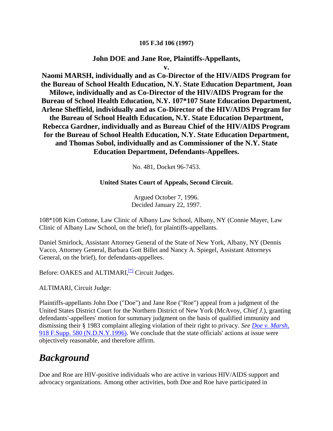#### **105 F.3d 106 (1997)**

### **John DOE and Jane Roe, Plaintiffs-Appellants,**

**v.**

**Naomi MARSH, individually and as Co-Director of the HIV/AIDS Program for the Bureau of School Health Education, N.Y. State Education Department, Joan Milowe, individually and as Co-Director of the HIV/AIDS Program for the Bureau of School Health Education, N.Y. 107\*107 State Education Department, Arlene Sheffield, individually and as Co-Director of the HIV/AIDS Program for the Bureau of School Health Education, N.Y. State Education Department, Rebecca Gardner, individually and as Bureau Chief of the HIV/AIDS Program for the Bureau of School Health Education, N.Y. State Education Department, and Thomas Sobol, individually and as Commissioner of the N.Y. State Education Department, Defendants-Appellees.**

No. 481, Docket 96-7453.

#### **United States Court of Appeals, Second Circuit.**

Argued October 7, 1996. Decided January 22, 1997.

108\*108 Kim Cottone, Law Clinic of Albany Law School, Albany, NY (Connie Mayer, Law Clinic of Albany Law School, on the brief), for plaintiffs-appellants.

Daniel Smirlock, Assistant Attorney General of the State of New York, Albany, NY (Dennis Vacco, Attorney General, Barbara Gott Billet and Nancy A. Spiegel, Assistant Attorneys General, on the brief), for defendants-appellees.

Before: OAKES and ALTIMARI,<sup>[\[\\*\]](http://scholar.google.co.in/scholar_case?q=doe+v.+marsh&hl=en&as_sdt=2,5&case=1313633769488851214&scilh=0#[1])</sup> Circuit Judges.

ALTIMARI, Circuit Judge:

Plaintiffs-appellants John Doe ("Doe") and Jane Roe ("Roe") appeal from a judgment of the United States District Court for the Northern District of New York (McAvoy, *Chief J.*), granting defendants'-appellees' motion for summary judgment on the basis of qualified immunity and dismissing their § 1983 complaint alleging violation of their right to privacy. *See [Doe v. Marsh,](http://scholar.google.co.in/scholar_case?case=5965957678747821863&q=doe+v.+marsh&hl=en&as_sdt=2,5&scilh=0)* [918 F.Supp. 580 \(N.D.N.Y.1996\).](http://scholar.google.co.in/scholar_case?case=5965957678747821863&q=doe+v.+marsh&hl=en&as_sdt=2,5&scilh=0) We conclude that the state officials' actions at issue were objectively reasonable, and therefore affirm.

## *Background*

Doe and Roe are HIV-positive individuals who are active in various HIV/AIDS support and advocacy organizations. Among other activities, both Doe and Roe have participated in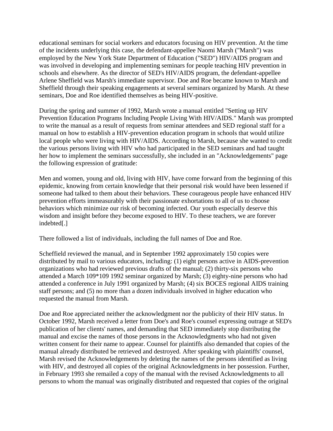educational seminars for social workers and educators focusing on HIV prevention. At the time of the incidents underlying this case, the defendant-appellee Naomi Marsh ("Marsh") was employed by the New York State Department of Education ("SED") HIV/AIDS program and was involved in developing and implementing seminars for people teaching HIV prevention in schools and elsewhere. As the director of SED's HIV/AIDS program, the defendant-appellee Arlene Sheffield was Marsh's immediate supervisor. Doe and Roe became known to Marsh and Sheffield through their speaking engagements at several seminars organized by Marsh. At these seminars, Doe and Roe identified themselves as being HIV-positive.

During the spring and summer of 1992, Marsh wrote a manual entitled "Setting up HIV Prevention Education Programs Including People Living With HIV/AIDS." Marsh was prompted to write the manual as a result of requests from seminar attendees and SED regional staff for a manual on how to establish a HIV-prevention education program in schools that would utilize local people who were living with HIV/AIDS. According to Marsh, because she wanted to credit the various persons living with HIV who had participated in the SED seminars and had taught her how to implement the seminars successfully, she included in an "Acknowledgements" page the following expression of gratitude:

Men and women, young and old, living with HIV, have come forward from the beginning of this epidemic, knowing from certain knowledge that their personal risk would have been lessened if someone had talked to them about their behaviors. These courageous people have enhanced HIV prevention efforts immeasurably with their passionate exhortations to all of us to choose behaviors which minimize our risk of becoming infected. Our youth especially deserve this wisdom and insight before they become exposed to HIV. To these teachers, we are forever indebted[.]

There followed a list of individuals, including the full names of Doe and Roe.

Scheffield reviewed the manual, and in September 1992 approximately 150 copies were distributed by mail to various educators, including: (1) eight persons active in AIDS-prevention organizations who had reviewed previous drafts of the manual; (2) thirty-six persons who attended a March 109\*109 1992 seminar organized by Marsh; (3) eighty-nine persons who had attended a conference in July 1991 organized by Marsh; (4) six BOCES regional AIDS training staff persons; and (5) no more than a dozen individuals involved in higher education who requested the manual from Marsh.

Doe and Roe appreciated neither the acknowledgment nor the publicity of their HIV status. In October 1992, Marsh received a letter from Doe's and Roe's counsel expressing outrage at SED's publication of her clients' names, and demanding that SED immediately stop distributing the manual and excise the names of those persons in the Acknowledgments who had not given written consent for their name to appear. Counsel for plaintiffs also demanded that copies of the manual already distributed be retrieved and destroyed. After speaking with plaintiffs' counsel, Marsh revised the Acknowledgements by deleting the names of the persons identified as living with HIV, and destroyed all copies of the original Acknowledgments in her possession. Further, in February 1993 she remailed a copy of the manual with the revised Acknowledgments to all persons to whom the manual was originally distributed and requested that copies of the original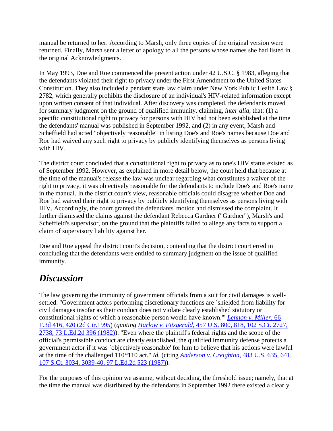manual be returned to her. According to Marsh, only three copies of the original version were returned. Finally, Marsh sent a letter of apology to all the persons whose names she had listed in the original Acknowledgments.

In May 1993, Doe and Roe commenced the present action under 42 U.S.C. § 1983, alleging that the defendants violated their right to privacy under the First Amendment to the United States Constitution. They also included a pendant state law claim under New York Public Health Law § 2782, which generally prohibits the disclosure of an individual's HIV-related information except upon written consent of that individual. After discovery was completed, the defendants moved for summary judgment on the ground of qualified immunity, claiming, *inter alia,* that: (1) a specific constitutional right to privacy for persons with HIV had not been established at the time the defendants' manual was published in September 1992, and (2) in any event, Marsh and Scheffield had acted "objectively reasonable" in listing Doe's and Roe's names because Doe and Roe had waived any such right to privacy by publicly identifying themselves as persons living with HIV.

The district court concluded that a constitutional right to privacy as to one's HIV status existed as of September 1992. However, as explained in more detail below, the court held that because at the time of the manual's release the law was unclear regarding what constitutes a waiver of the right to privacy, it was objectively reasonable for the defendants to include Doe's and Roe's name in the manual. In the district court's view, reasonable officials could disagree whether Doe and Roe had waived their right to privacy by publicly identifying themselves as persons living with HIV. Accordingly, the court granted the defendants' motion and dismissed the complaint. It further dismissed the claims against the defendant Rebecca Gardner ("Gardner"), Marsh's and Scheffield's supervisor, on the ground that the plaintiffs failed to allege any facts to support a claim of supervisory liability against her.

Doe and Roe appeal the district court's decision, contending that the district court erred in concluding that the defendants were entitled to summary judgment on the issue of qualified immunity.

# *Discussion*

The law governing the immunity of government officials from a suit for civil damages is wellsettled. "Government actors performing discretionary functions are `shielded from liability for civil damages insofar as their conduct does not violate clearly established statutory or constitutional rights of which a reasonable person would have known.'" *[Lennon v. Miller,](http://scholar.google.co.in/scholar_case?case=1279330838476172252&q=doe+v.+marsh&hl=en&as_sdt=2,5&scilh=0)* 66 [F.3d 416, 420 \(2d Cir.1995\)](http://scholar.google.co.in/scholar_case?case=1279330838476172252&q=doe+v.+marsh&hl=en&as_sdt=2,5&scilh=0) (*quoting Harlow v. Fitzgerald,* [457 U.S. 800, 818, 102 S.Ct. 2727,](http://scholar.google.co.in/scholar_case?case=13486920831186038844&q=doe+v.+marsh&hl=en&as_sdt=2,5&scilh=0)  [2738, 73 L.Ed.2d 396 \(1982\)\)](http://scholar.google.co.in/scholar_case?case=13486920831186038844&q=doe+v.+marsh&hl=en&as_sdt=2,5&scilh=0). "Even where the plaintiff's federal rights and the scope of the official's permissible conduct are clearly established, the qualified immunity defense protects a government actor if it was `objectively reasonable' for him to believe that his actions were lawful at the time of the challenged 110\*110 act." *Id.* (citing *[Anderson v. Creighton,](http://scholar.google.co.in/scholar_case?case=12881500287411882090&q=doe+v.+marsh&hl=en&as_sdt=2,5&scilh=0)* 483 U.S. 635, 641, [107 S.Ct. 3034, 3039-40, 97 L.Ed.2d 523 \(1987\)\)](http://scholar.google.co.in/scholar_case?case=12881500287411882090&q=doe+v.+marsh&hl=en&as_sdt=2,5&scilh=0).

For the purposes of this opinion we assume, without deciding, the threshold issue; namely, that at the time the manual was distributed by the defendants in September 1992 there existed a clearly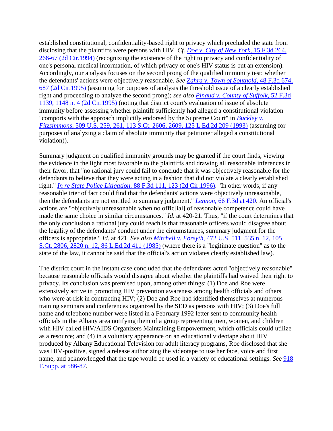established constitutional, confidentiality-based right to privacy which precluded the state from disclosing that the plaintiffs were persons with HIV. *Cf. [Doe v. City of New York,](http://scholar.google.co.in/scholar_case?case=6515531860514673129&q=doe+v.+marsh&hl=en&as_sdt=2,5&scilh=0)* 15 F.3d 264, [266-67 \(2d Cir.1994\)](http://scholar.google.co.in/scholar_case?case=6515531860514673129&q=doe+v.+marsh&hl=en&as_sdt=2,5&scilh=0) (recognizing the existence of the right to privacy and confidentiality of one's personal medical information, of which privacy of one's HIV status is but an extension). Accordingly, our analysis focuses on the second prong of the qualified immunity test: whether the defendants' actions were objectively reasonable. *See [Zahra v. Town of Southold,](http://scholar.google.co.in/scholar_case?case=15926354772815034186&q=doe+v.+marsh&hl=en&as_sdt=2,5&scilh=0)* 48 F.3d 674, [687 \(2d Cir.1995\)](http://scholar.google.co.in/scholar_case?case=15926354772815034186&q=doe+v.+marsh&hl=en&as_sdt=2,5&scilh=0) (assuming for purposes of analysis the threshold issue of a clearly established right and proceeding to analyze the second prong); *see also [Pinaud v. County of Suffolk,](http://scholar.google.co.in/scholar_case?case=156464448897588425&q=doe+v.+marsh&hl=en&as_sdt=2,5&scilh=0)* 52 F.3d [1139, 1148 n. 4 \(2d Cir.1995\)](http://scholar.google.co.in/scholar_case?case=156464448897588425&q=doe+v.+marsh&hl=en&as_sdt=2,5&scilh=0) (noting that district court's evaluation of issue of absolute immunity before assessing whether plaintiff sufficiently had alleged a constitutional violation "comports with the approach implicitly endorsed by the Supreme Court" in *[Buckley v.](http://scholar.google.co.in/scholar_case?case=6691481497633541172&q=doe+v.+marsh&hl=en&as_sdt=2,5&scilh=0)  Fitzsimmons,* [509 U.S. 259, 261, 113 S.Ct. 2606, 2609, 125 L.Ed.2d 209 \(1993\)](http://scholar.google.co.in/scholar_case?case=6691481497633541172&q=doe+v.+marsh&hl=en&as_sdt=2,5&scilh=0) (assuming for purposes of analyzing a claim of absolute immunity that petitioner alleged a constitutional violation)).

Summary judgment on qualified immunity grounds may be granted if the court finds, viewing the evidence in the light most favorable to the plaintiffs and drawing all reasonable inferences in their favor, that "no rational jury could fail to conclude that it was objectively reasonable for the defendants to believe that they were acting in a fashion that did not violate a clearly established right." *In re State Police Litigation,* [88 F.3d 111, 123 \(2d Cir.1996\).](http://scholar.google.co.in/scholar_case?case=4812609884115489940&q=doe+v.+marsh&hl=en&as_sdt=2,5&scilh=0) "In other words, if any reasonable trier of fact could find that the defendants' actions were objectively unreasonable, then the defendants are not entitled to summary judgment." *Lennon,* [66 F.3d at 420.](http://scholar.google.co.in/scholar_case?case=1279330838476172252&q=doe+v.+marsh&hl=en&as_sdt=2,5&scilh=0) An official's actions are "objectively unreasonable when no offic[ial] of reasonable competence could have made the same choice in similar circumstances." *Id.* at 420-21. Thus, "if the court determines that the only conclusion a rational jury could reach is that reasonable officers would disagree about the legality of the defendants' conduct under the circumstances, summary judgment for the officers is appropriate." *Id.* at 421. *See also Mitchell v. Forsyth,* [472 U.S. 511, 535 n. 12, 105](http://scholar.google.co.in/scholar_case?case=15567295874160571256&q=doe+v.+marsh&hl=en&as_sdt=2,5&scilh=0)  [S.Ct. 2806, 2820 n. 12, 86 L.Ed.2d 411 \(1985\)](http://scholar.google.co.in/scholar_case?case=15567295874160571256&q=doe+v.+marsh&hl=en&as_sdt=2,5&scilh=0) (where there is a "legitimate question" as to the state of the law, it cannot be said that the official's action violates clearly established law).

The district court in the instant case concluded that the defendants acted "objectively reasonable" because reasonable officials would disagree about whether the plaintiffs had waived their right to privacy. Its conclusion was premised upon, among other things: (1) Doe and Roe were extensively active in promoting HIV prevention awareness among health officials and others who were at-risk in contracting HIV; (2) Doe and Roe had identified themselves at numerous training seminars and conferences organized by the SED as persons with HIV; (3) Doe's full name and telephone number were listed in a February 1992 letter sent to community health officials in the Albany area notifying them of a group representing men, women, and children with HIV called HIV/AIDS Organizers Maintaining Empowerment, which officials could utilize as a resource; and (4) in a voluntary appearance on an educational videotape about HIV produced by Albany Educational Television for adult literacy programs, Roe disclosed that she was HIV-positive, signed a release authorizing the videotape to use her face, voice and first name, and acknowledged that the tape would be used in a variety of educational settings. *See* [918](http://scholar.google.co.in/scholar_case?case=5965957678747821863&q=doe+v.+marsh&hl=en&as_sdt=2,5&scilh=0)  [F.Supp. at 586-87.](http://scholar.google.co.in/scholar_case?case=5965957678747821863&q=doe+v.+marsh&hl=en&as_sdt=2,5&scilh=0)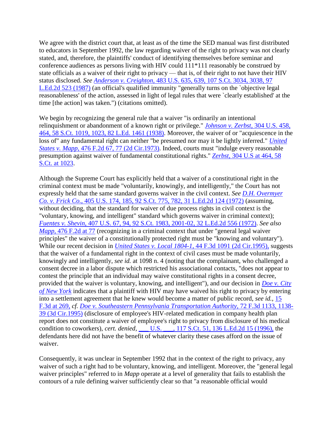We agree with the district court that, at least as of the time the SED manual was first distributed to educators in September 1992, the law regarding waiver of the right to privacy was not clearly stated, and, therefore, the plaintiffs' conduct of identifying themselves before seminar and conference audiences as persons living with HIV could 111\*111 reasonably be construed by state officials as a waiver of their right to privacy — that is, of their right to not have their HIV status disclosed. *See Anderson v. Creighton,* 483 U.S. 635, 639, [107 S.Ct. 3034, 3038, 97](http://scholar.google.co.in/scholar_case?case=12881500287411882090&q=doe+v.+marsh&hl=en&as_sdt=2,5&scilh=0)  [L.Ed.2d 523 \(1987\)](http://scholar.google.co.in/scholar_case?case=12881500287411882090&q=doe+v.+marsh&hl=en&as_sdt=2,5&scilh=0) (an official's qualified immunity "generally turns on the `objective legal reasonableness' of the action, assessed in light of legal rules that were `clearly established' at the time [the action] was taken.") (citations omitted).

We begin by recognizing the general rule that a waiver "is ordinarily an intentional relinquishment or abandonment of a known right or privilege." *[Johnson v. Zerbst,](http://scholar.google.co.in/scholar_case?case=11009897881566368743&q=doe+v.+marsh&hl=en&as_sdt=2,5&scilh=0)* 304 U.S. 458, [464, 58 S.Ct. 1019, 1023, 82 L.Ed. 1461 \(1938\).](http://scholar.google.co.in/scholar_case?case=11009897881566368743&q=doe+v.+marsh&hl=en&as_sdt=2,5&scilh=0) Moreover, the waiver of or "acquiescence in the loss of" any fundamental right can neither "be presumed nor may it be lightly inferred." *[United](http://scholar.google.co.in/scholar_case?case=10841920552450676219&q=doe+v.+marsh&hl=en&as_sdt=2,5&scilh=0)  States v. Mapp,* [476 F.2d 67, 77 \(2d Cir.1973\).](http://scholar.google.co.in/scholar_case?case=10841920552450676219&q=doe+v.+marsh&hl=en&as_sdt=2,5&scilh=0) Indeed, courts must "indulge every reasonable presumption against waiver of fundamental constitutional rights." *Zerbst,* [304 U.S at 464, 58](http://scholar.google.co.in/scholar_case?case=11009897881566368743&q=doe+v.+marsh&hl=en&as_sdt=2,5&scilh=0)  [S.Ct. at 1023.](http://scholar.google.co.in/scholar_case?case=11009897881566368743&q=doe+v.+marsh&hl=en&as_sdt=2,5&scilh=0)

Although the Supreme Court has explicitly held that a waiver of a constitutional right in the criminal context must be made "voluntarily, knowingly, and intelligently," the Court has not expressly held that the same standard governs waiver in the civil context. *See [D.H. Overmyer](http://scholar.google.co.in/scholar_case?case=5548259423032955541&q=doe+v.+marsh&hl=en&as_sdt=2,5&scilh=0)  Co. v. Frick Co.,* [405 U.S. 174, 185, 92 S.Ct. 775, 782, 31 L.Ed.2d 124 \(1972\)](http://scholar.google.co.in/scholar_case?case=5548259423032955541&q=doe+v.+marsh&hl=en&as_sdt=2,5&scilh=0) (assuming, without deciding, that the standard for waiver of due process rights in civil context is the "voluntary, knowing, and intelligent" standard which governs waiver in criminal context); *Fuentes v. Shevin,* [407 U.S. 67, 94, 92 S.Ct. 1983, 2001-02, 32 L.Ed.2d 556 \(1972\).](http://scholar.google.co.in/scholar_case?case=12685440404901349212&q=doe+v.+marsh&hl=en&as_sdt=2,5&scilh=0) *See also Mapp*, [476 F.2d at 77](http://scholar.google.co.in/scholar_case?case=10841920552450676219&q=doe+v.+marsh&hl=en&as_sdt=2,5&scilh=0) (recognizing in a criminal context that under "general legal waiver" principles" the waiver of a constitutionally protected right must be "knowing and voluntary"). While our recent decision in *[United States v. Local 1804-1,](http://scholar.google.co.in/scholar_case?case=16376121909815492775&q=doe+v.+marsh&hl=en&as_sdt=2,5&scilh=0)* 44 F.3d 1091 (2d Cir.1995), suggests that the waiver of a fundamental right in the context of civil cases must be made voluntarily, knowingly and intelligently, *see id.* at 1098 n. 4 (noting that the complainant, who challenged a consent decree in a labor dispute which restricted his associational contacts, "does not appear to contest the principle that an individual may waive constitutional rights in a consent decree, provided that the waiver is voluntary, knowing, and intelligent"), and our decision in *[Doe v. City](http://scholar.google.co.in/scholar_case?case=6515531860514673129&q=doe+v.+marsh&hl=en&as_sdt=2,5&scilh=0)  [of New York](http://scholar.google.co.in/scholar_case?case=6515531860514673129&q=doe+v.+marsh&hl=en&as_sdt=2,5&scilh=0)* indicates that a plaintiff with HIV may have waived his right to privacy by entering into a settlement agreement that he knew would become a matter of public record, *see id.,* [15](http://scholar.google.co.in/scholar_case?case=6515531860514673129&q=doe+v.+marsh&hl=en&as_sdt=2,5&scilh=0)  [F.3d at 269,](http://scholar.google.co.in/scholar_case?case=6515531860514673129&q=doe+v.+marsh&hl=en&as_sdt=2,5&scilh=0) *cf. [Doe v. Southeastern Pennsylvania Transportation Authority,](http://scholar.google.co.in/scholar_case?case=17589155420410349788&q=doe+v.+marsh&hl=en&as_sdt=2,5&scilh=0)* 72 F.3d 1133, 1138- [39 \(3d Cir.1995\)](http://scholar.google.co.in/scholar_case?case=17589155420410349788&q=doe+v.+marsh&hl=en&as_sdt=2,5&scilh=0) (disclosure of employee's HIV-related medication in company health plan report does not constitute a waiver of employee's right to privacy from disclosure of his medical condition to coworkers), *cert. denied,* [\\_\\_\\_ U.S. \\_\\_\\_, 117 S.Ct. 51, 136 L.Ed.2d 15 \(1996\),](http://scholar.google.co.in/scholar_case?about=4224471128174827157&q=doe+v.+marsh&hl=en&as_sdt=2,5&scilh=0) the defendants here did not have the benefit of whatever clarity these cases afford on the issue of waiver.

Consequently, it was unclear in September 1992 that in the context of the right to privacy, any waiver of such a right had to be voluntary, knowing, and intelligent. Moreover, the "general legal waiver principles" referred to in *Mapp* operate at a level of generality that fails to establish the contours of a rule defining waiver sufficiently clear so that "a reasonable official would